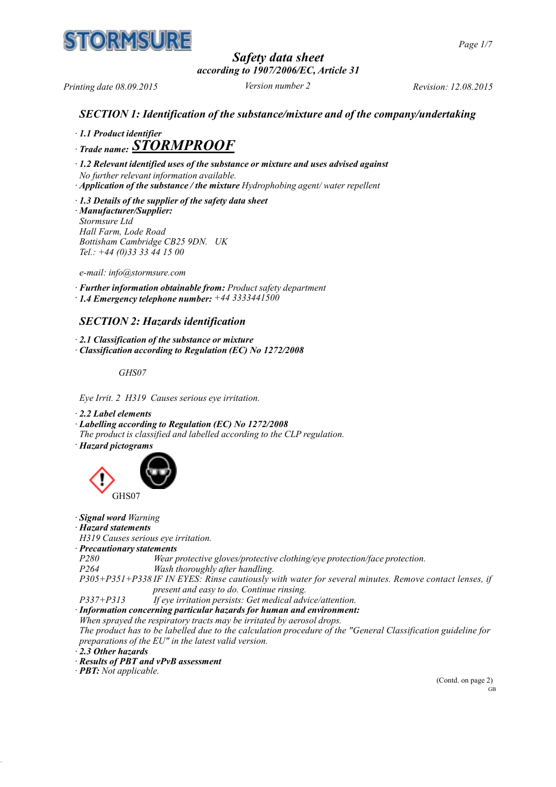

*Page 1/7*

*Safety data sheet according to 1907/2006/EC, Article 31*

*Printing date 08.09.2015 Version number 2 Revision: 12.08.2015*

## *SECTION 1: Identification of the substance/mixture and of the company/undertaking*

*· 1.1 Product identifier*

*· Trade name: STORMPROOF*

*· 1.2 Relevant identified uses of the substance or mixture and uses advised against*

*No further relevant information available.*

*· Application of the substance / the mixture Hydrophobing agent/ water repellent*

*· 1.3 Details of the supplier of the safety data sheet · Manufacturer/Supplier: Stormsure Ltd Hall Farm, Lode Road Bottisham Cambridge CB25 9DN. UK Tel.: +44 (0)33 33 44 15 00*

*e-mail: info@stormsure.com*

*· Further information obtainable from: Product safety department · 1.4 Emergency telephone number: +44 3333441500*

## *SECTION 2: Hazards identification*

*· 2.1 Classification of the substance or mixture*

*· Classification according to Regulation (EC) No 1272/2008*

*GHS07*

*Eye Irrit. 2 H319 Causes serious eye irritation.*

*· 2.2 Label elements*

*· Labelling according to Regulation (EC) No 1272/2008*

*The product is classified and labelled according to the CLP regulation.*

*· Hazard pictograms*



- *· Signal word Warning*
- *· Hazard statements*

*H319 Causes serious eye irritation.*

*· Precautionary statements*

*P280 Wear protective gloves/protective clothing/eye protection/face protection. P264 Wash thoroughly after handling.*

*P305+P351+P338 IF IN EYES: Rinse cautiously with water for several minutes. Remove contact lenses, if present and easy to do. Continue rinsing.*

*P337+P313 If eye irritation persists: Get medical advice/attention.*

*· Information concerning particular hazards for human and environment:*

*When sprayed the respiratory tracts may be irritated by aerosol drops.*

*The product has to be labelled due to the calculation procedure of the "General Classification guideline for preparations of the EU" in the latest valid version.*

*· 2.3 Other hazards*

*· Results of PBT and vPvB assessment*

*· PBT: Not applicable.*

(Contd. on page 2) GB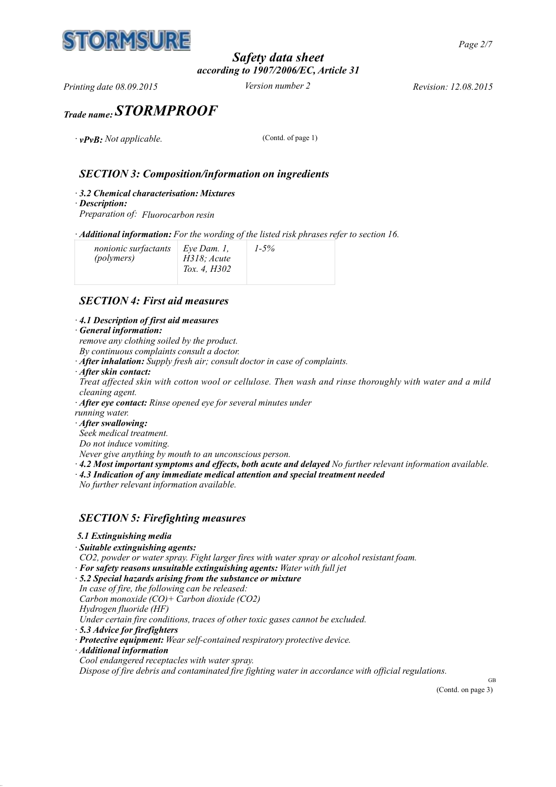

## *Safety data sheet according to 1907/2006/EC, Article 31*

*Printing date 08.09.2015 Version number 2 Revision: 12.08.2015*

# *Trade name: STORMPROOF*

*·*  $vPvB$ : *Not applicable.* (Contd. of page 1)

## *SECTION 3: Composition/information on ingredients*

- *· 3.2 Chemical characterisation: Mixtures*
- *· Description:*

*Preparation of: Fluorocarbon resin*

*· Additional information: For the wording of the listed risk phrases refer to section 16.*

| nonionic surfactants<br>(polymers) | Eye Dam. $I$ ,<br>$H318$ ; Acute<br>Tox. 4, H302 | $1-5%$ |  |
|------------------------------------|--------------------------------------------------|--------|--|
|------------------------------------|--------------------------------------------------|--------|--|

## *SECTION 4: First aid measures*

#### *· 4.1 Description of first aid measures*

#### *· General information:*

- *remove any clothing soiled by the product.*
- *By continuous complaints consult a doctor.*
- *· After inhalation: Supply fresh air; consult doctor in case of complaints.*
- *· After skin contact:*

Treat affected skin with cotton wool or cellulose. Then wash and rinse thoroughly with water and a mild *cleaning agent.*

- *· After eye contact: Rinse opened eye for several minutes under*
- *running water.*
- *· After swallowing:*
- *Seek medical treatment.*
- *Do not induce vomiting.*
- *Never give anything by mouth to an unconscious person.*
- *· 4.2 Most important symptoms and effects, both acute and delayed No further relevant information available.*
- *· 4.3 Indication of any immediate medical attention and special treatment needed*
- *No further relevant information available.*

## *SECTION 5: Firefighting measures*

- *5.1 Extinguishing media*
- *· Suitable extinguishing agents:*
- *CO2, powder or water spray. Fight larger fires with water spray or alcohol resistant foam.*
- *· For safety reasons unsuitable extinguishing agents: Water with full jet*
- *· 5.2 Special hazards arising from the substance or mixture*
- *In case of fire, the following can be released:*
- *Carbon monoxide (CO)+ Carbon dioxide (CO2)*
- *Hydrogen fluoride (HF)*
- *Under certain fire conditions, traces of other toxic gases cannot be excluded.*
- *· 5.3 Advice for firefighters*
- *· Protective equipment: Wear self-contained respiratory protective device.*
- *· Additional information*
- *Cool endangered receptacles with water spray.*

*Dispose of fire debris and contaminated fire fighting water in accordance with official regulations.*

GB (Contd. on page 3)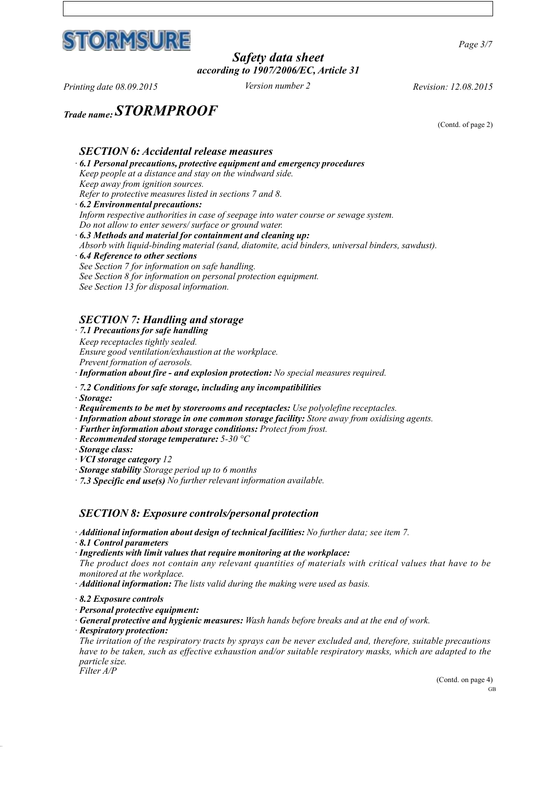

*Page 3/7*

## *Safety data sheet according to 1907/2006/EC, Article 31*

*Printing date 08.09.2015 Version number 2 Revision: 12.08.2015*

*Trade name: STORMPROOF*

(Contd. of page 2)

#### *SECTION 6: Accidental release measures · 6.1 Personal precautions, protective equipment and emergency procedures Keep people at a distance and stay on the windward side. Keep away from ignition sources. Refer to protective measures listed in sections 7 and 8. · 6.2 Environmental precautions: Inform respective authorities in case of seepage into water course or sewage system. Do not allow to enter sewers/ surface or ground water.*

*· 6.3 Methods and material for containment and cleaning up:*

*Absorb with liquid-binding material (sand, diatomite, acid binders, universal binders, sawdust).*

- *· 6.4 Reference to other sections*
- *See Section 7 for information on safe handling.*

*See Section 8 for information on personal protection equipment.* 

*See Section 13 for disposal information.*

## *SECTION 7: Handling and storage*

*· 7.1 Precautions for safe handling*

*Keep receptacles tightly sealed.*

*Ensure good ventilation/exhaustion at the workplace.* 

*Prevent formation of aerosols.*

*· Information about fire - and explosion protection: No special measures required.*

- *· 7.2 Conditions for safe storage, including any incompatibilities*
- *· Storage:*
- *· Requirements to be met by storerooms and receptacles: Use polyolefine receptacles.*
- *· Information about storage in one common storage facility: Store away from oxidising agents.*
- *· Further information about storage conditions: Protect from frost.*
- *· Recommended storage temperature: 5-30 °C*

*· Storage class:*

- *· VCI storage category 12*
- *· Storage stability Storage period up to 6 months*
- *· 7.3 Specific end use(s) No further relevant information available.*

## *SECTION 8: Exposure controls/personal protection*

- *· Additional information about design of technical facilities: No further data; see item 7.*
- *· 8.1 Control parameters*
- *· Ingredients with limit values that require monitoring at the workplace:*

*The product does not contain any relevant quantities of materials with critical values that have to be monitored at the workplace.*

- *· Additional information: The lists valid during the making were used as basis.*
- *· 8.2 Exposure controls*
- *· Personal protective equipment:*
- *· General protective and hygienic measures: Wash hands before breaks and at the end of work.*
- *· Respiratory protection:*

*The irritation of the respiratory tracts by sprays can be never excluded and, therefore, suitable precautions have to be taken, such as effective exhaustion and/or suitable respiratory masks, which are adapted to the particle size. Filter A/P*

> (Contd. on page 4) GB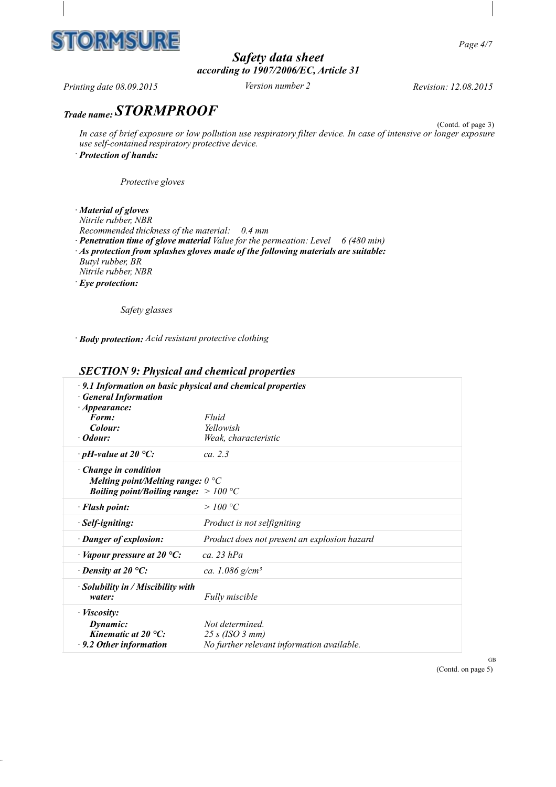

*Page 4/7*

# *Safety data sheet according to 1907/2006/EC, Article 31*

*Printing date 08.09.2015 Version number 2 Revision: 12.08.2015*

# *Trade name: STORMPROOF*

(Contd. of page 3) In case of brief exposure or low pollution use respiratory filter device. In case of intensive or longer exposure *use self-contained respiratory protective device. · Protection of hands:*

*Protective gloves*

*· Material of gloves Nitrile rubber, NBR Recommended thickness of the material: 0.4 mm · Penetration time of glove material Value for the permeation: Level 6 (480 min) · As protection from splashes gloves made of the following materials are suitable: Butyl rubber, BR Nitrile rubber, NBR · Eye protection:*

*Safety glasses*

*· Body protection: Acid resistant protective clothing*

## *SECTION 9: Physical and chemical properties*

| $\cdot$ 9.1 Information on basic physical and chemical properties<br><b>General Information</b><br>$\cdot$ Appearance:<br>Form:<br>Colour:<br>· Odour: | Fluid<br>Yellowish<br>Weak, characteristic                                      |
|--------------------------------------------------------------------------------------------------------------------------------------------------------|---------------------------------------------------------------------------------|
| $\cdot$ pH-value at 20 °C:                                                                                                                             | ca. 2.3                                                                         |
| $\cdot$ Change in condition<br>Melting point/Melting range: $0^{\circ}C$<br><i>Boiling point/Boiling range:</i> $>100 °C$                              |                                                                                 |
| · Flash point:                                                                                                                                         | >100 °C                                                                         |
| · Self-igniting:                                                                                                                                       | Product is not selfigniting                                                     |
| · Danger of explosion:                                                                                                                                 | Product does not present an explosion hazard                                    |
| $\cdot$ Vapour pressure at 20 °C:                                                                                                                      | $ca$ 23 $hPa$                                                                   |
| $\cdot$ Density at 20 °C:                                                                                                                              | ca. 1.086 $g/cm^3$                                                              |
| $\cdot$ Solubility in / Miscibility with<br>water:                                                                                                     | <b>Fully miscible</b>                                                           |
| · <i>Viscosity</i> :<br>Dynamic:<br>Kinematic at $20^{\circ}$ C:<br>$\cdot$ 9.2 Other information                                                      | Not determined<br>25 s (ISO 3 mm)<br>No further relevant information available. |

GB (Contd. on page 5)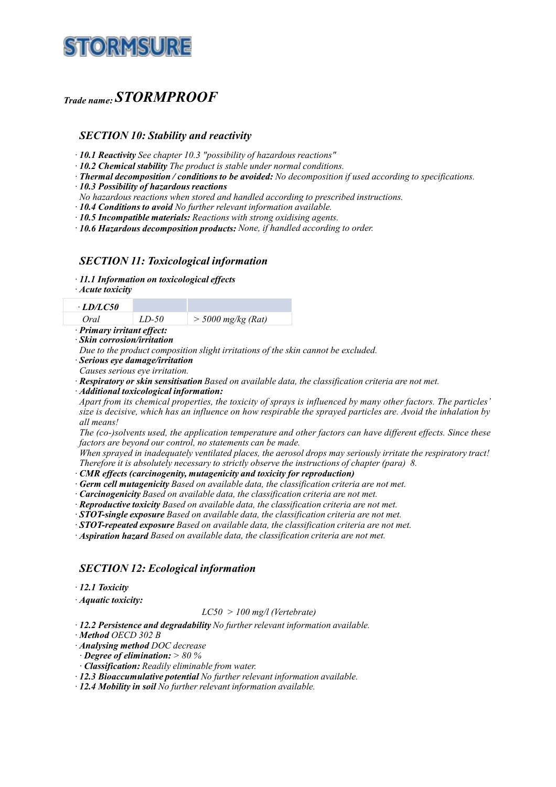

# *Trade name: STORMPROOF*

#### *SECTION 10: Stability and reactivity*

*· 10.1 Reactivity See chapter 10.3 "possibility of hazardous reactions"*

*· 10.2 Chemical stability The product is stable under normal conditions.*

*· Thermal decomposition / conditions to be avoided: No decomposition if used according to specifications.*

*· 10.3 Possibility of hazardous reactions*

*No hazardous reactions when stored and handled according to prescribed instructions.*

*· 10.4 Conditions to avoid No further relevant information available.*

*· 10.5 Incompatible materials: Reactions with strong oxidising agents.*

*· 10.6 Hazardous decomposition products: None, if handled according to order.*

## *SECTION 11: Toxicological information*

*· 11.1 Information on toxicological effects*

*· Acute toxicity*

| LD/LC50                  |       |                      |
|--------------------------|-------|----------------------|
| Oral                     | LD-50 | $>$ 5000 mg/kg (Rat) |
| Drimary irritant offoct. |       |                      |

*· Primary irritant effect: · Skin corrosion/irritation*

*Due to the product composition slight irritations of the skin cannot be excluded.*

*· Serious eye damage/irritation*

*Causes serious eye irritation.*

*· Respiratory or skin sensitisation Based on available data, the classification criteria are not met.*

*· Additional toxicological information:*

*Apart from its chemical properties, the toxicity of sprays is influenced by many other factors. The particles' size is decisive, which has an influence on how respirable the sprayed particles are. Avoid the inhalation by all means!*

*The (co-)solvents used, the application temperature and other factors can have different effects. Since these factors are beyond our control, no statements can be made.*

*When sprayed in inadequately ventilated places, the aerosol drops may seriously irritate the respiratory tract! Therefore it is absolutely necessary to strictly observe the instructions of chapter (para) 8.*

*· CMR effects (carcinogenity, mutagenicity and toxicity for reproduction)*

*· Germ cell mutagenicity Based on available data, the classification criteria are not met.*

*· Carcinogenicity Based on available data, the classification criteria are not met.*

*· Reproductive toxicity Based on available data, the classification criteria are not met.*

*· STOT-single exposure Based on available data, the classification criteria are not met.*

*· STOT-repeated exposure Based on available data, the classification criteria are not met.*

*· Aspiration hazard Based on available data, the classification criteria are not met.*

## *SECTION 12: Ecological information*

*· 12.1 Toxicity*

*· Aquatic toxicity:*

#### *LC50 > 100 mg/l (Vertebrate)*

*· 12.2 Persistence and degradability No further relevant information available.*

*· Method OECD 302 B*

*· Analysing method DOC decrease*

*· Degree of elimination: > 80 %*

*· Classification: Readily eliminable from water.* 

*· 12.3 Bioaccumulative potential No further relevant information available.*

*· 12.4 Mobility in soil No further relevant information available.*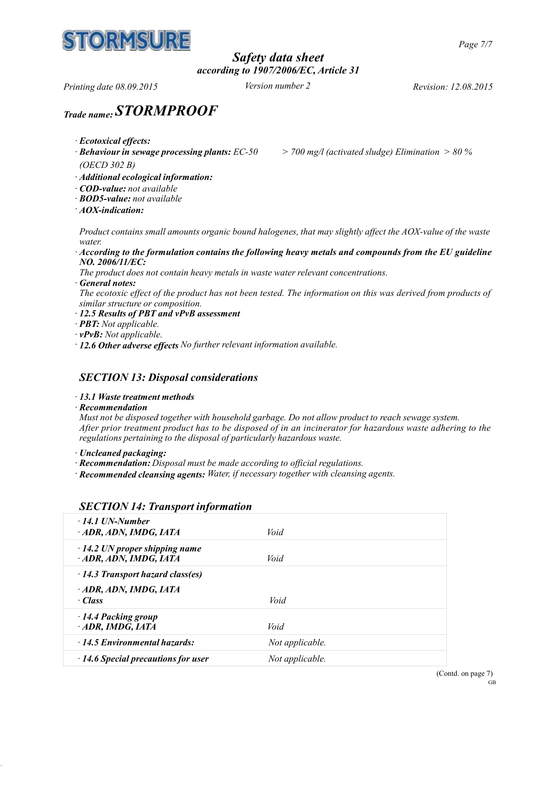

# *Safety data sheet according to 1907/2006/EC, Article 31*

*Printing date 08.09.2015 Version number 2 Revision: 12.08.2015*

# *Trade name: STORMPROOF*

- *· Ecotoxical effects:*
- 

*· Behaviour in sewage processing plants: EC-50 > 700 mg/l (activated sludge) Elimination > 80 %*

*(OECD 302 B)*

- *· Additional ecological information:*
- *· COD-value: not available*
- *· BOD5-value: not available*
- *· AOX-indication:*

*Product contains small amounts organic bound halogenes, that may slightly affect the AOX-value of the waste water.*

*· According to the formulation contains the following heavy metals and compounds from the EU guideline NO. 2006/11/EC:*

*The product does not contain heavy metals in waste water relevant concentrations.*

*· General notes:*

*The ecotoxic effect of the product has not been tested. The information on this was derived from products of similar structure or composition.*

- *· 12.5 Results of PBT and vPvB assessment*
- *· PBT: Not applicable.*
- *· vPvB: Not applicable.*
- *· 12.6 Other adverse effects No further relevant information available.*

## *SECTION 13: Disposal considerations*

- *· 13.1 Waste treatment methods*
- *· Recommendation*

*Must not be disposed together with household garbage. Do not allow product to reach sewage system. After prior treatment product has to be disposed of in an incinerator for hazardous waste adhering to the regulations pertaining to the disposal of particularly hazardous waste.*

- *· Uncleaned packaging:*
- *· Recommendation: Disposal must be made according to official regulations.*
- *· Recommended cleansing agents: Water, if necessary together with cleansing agents.*

## *SECTION 14: Transport information*

| $\cdot$ 14.1 UN-Number<br>ADR, ADN, IMDG, IATA               | Void            |
|--------------------------------------------------------------|-----------------|
| $\cdot$ 14.2 UN proper shipping name<br>ADR, ADN, IMDG, IATA | Void            |
| $\cdot$ 14.3 Transport hazard class(es)                      |                 |
| ADR, ADN, IMDG, IATA<br>$\cdot$ Class                        | Void            |
| $\cdot$ 14.4 Packing group<br>ADR, IMDG, IATA                | Void            |
| $\cdot$ 14.5 Environmental hazards:                          | Not applicable. |
| $\cdot$ 14.6 Special precautions for user                    | Not applicable. |

(Contd. on page 7) GB